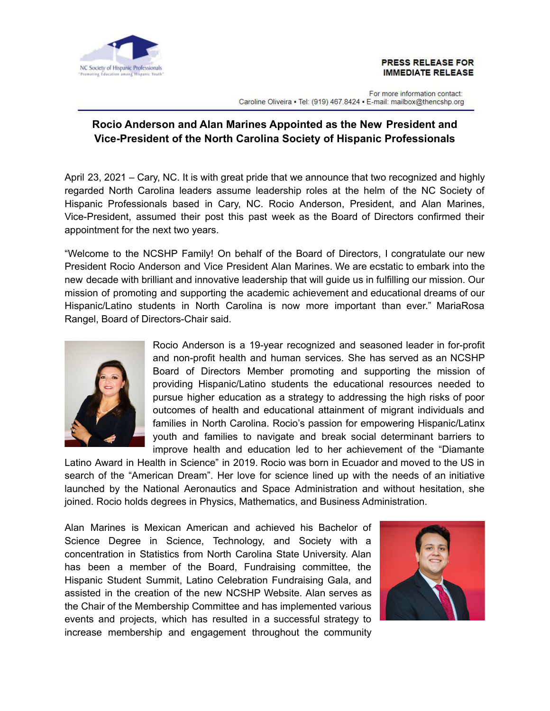

## **PRESS RELEASE FOR IMMEDIATE RELEASE**

For more information contact: Caroline Oliveira • Tel: (919) 467.8424 • E-mail: mailbox@thencshp.org

## **Rocio Anderson and Alan Marines Appointed as the New President and Vice-President of the North Carolina Society of Hispanic Professionals**

April 23, 2021 – Cary, NC. It is with great pride that we announce that two recognized and highly regarded North Carolina leaders assume leadership roles at the helm of the NC Society of Hispanic Professionals based in Cary, NC. Rocio Anderson, President, and Alan Marines, Vice-President, assumed their post this past week as the Board of Directors confirmed their appointment for the next two years.

"Welcome to the NCSHP Family! On behalf of the Board of Directors, I congratulate our new President Rocio Anderson and Vice President Alan Marines. We are ecstatic to embark into the new decade with brilliant and innovative leadership that will guide us in fulfilling our mission. Our mission of promoting and supporting the academic achievement and educational dreams of our Hispanic/Latino students in North Carolina is now more important than ever." MariaRosa Rangel, Board of Directors-Chair said.



Rocio Anderson is a 19-year recognized and seasoned leader in for-profit and non-profit health and human services. She has served as an NCSHP Board of Directors Member promoting and supporting the mission of providing Hispanic/Latino students the educational resources needed to pursue higher education as a strategy to addressing the high risks of poor outcomes of health and educational attainment of migrant individuals and families in North Carolina. Rocio's passion for empowering Hispanic/Latinx youth and families to navigate and break social determinant barriers to improve health and education led to her achievement of the "Diamante

Latino Award in Health in Science" in 2019. Rocio was born in Ecuador and moved to the US in search of the "American Dream". Her love for science lined up with the needs of an initiative launched by the National Aeronautics and Space Administration and without hesitation, she joined. Rocio holds degrees in Physics, Mathematics, and Business Administration.

Alan Marines is Mexican American and achieved his Bachelor of Science Degree in Science, Technology, and Society with a concentration in Statistics from North Carolina State University. Alan has been a member of the Board, Fundraising committee, the Hispanic Student Summit, Latino Celebration Fundraising Gala, and assisted in the creation of the new NCSHP Website. Alan serves as the Chair of the Membership Committee and has implemented various events and projects, which has resulted in a successful strategy to increase membership and engagement throughout the community